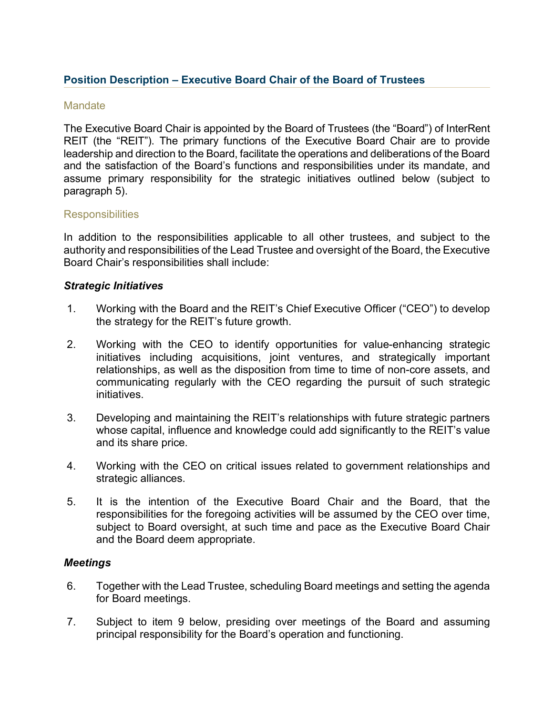# **Position Description – Executive Board Chair of the Board of Trustees**

#### **Mandate**

The Executive Board Chair is appointed by the Board of Trustees (the "Board") of InterRent REIT (the "REIT"). The primary functions of the Executive Board Chair are to provide leadership and direction to the Board, facilitate the operations and deliberations of the Board and the satisfaction of the Board's functions and responsibilities under its mandate, and assume primary responsibility for the strategic initiatives outlined below (subject to paragraph 5).

#### **Responsibilities**

In addition to the responsibilities applicable to all other trustees, and subject to the authority and responsibilities of the Lead Trustee and oversight of the Board, the Executive Board Chair's responsibilities shall include:

#### *Strategic Initiatives*

- 1. Working with the Board and the REIT's Chief Executive Officer ("CEO") to develop the strategy for the REIT's future growth.
- 2. Working with the CEO to identify opportunities for value-enhancing strategic initiatives including acquisitions, joint ventures, and strategically important relationships, as well as the disposition from time to time of non-core assets, and communicating regularly with the CEO regarding the pursuit of such strategic initiatives.
- 3. Developing and maintaining the REIT's relationships with future strategic partners whose capital, influence and knowledge could add significantly to the REIT's value and its share price.
- 4. Working with the CEO on critical issues related to government relationships and strategic alliances.
- 5. It is the intention of the Executive Board Chair and the Board, that the responsibilities for the foregoing activities will be assumed by the CEO over time, subject to Board oversight, at such time and pace as the Executive Board Chair and the Board deem appropriate.

#### *Meetings*

- 6. Together with the Lead Trustee, scheduling Board meetings and setting the agenda for Board meetings.
- 7. Subject to item 9 below, presiding over meetings of the Board and assuming principal responsibility for the Board's operation and functioning.